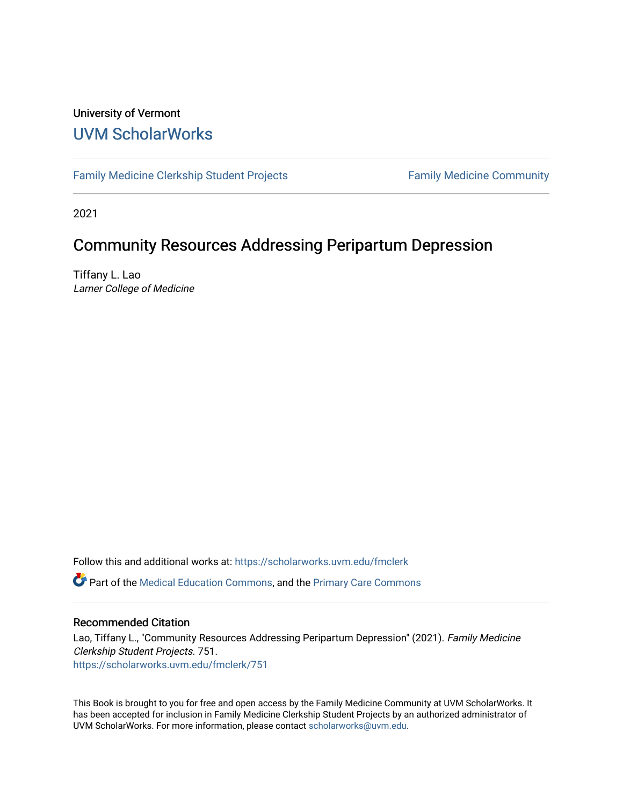#### University of Vermont [UVM ScholarWorks](https://scholarworks.uvm.edu/)

[Family Medicine Clerkship Student Projects](https://scholarworks.uvm.edu/fmclerk) Family Medicine Community

2021

#### Community Resources Addressing Peripartum Depression

Tiffany L. Lao Larner College of Medicine

Follow this and additional works at: [https://scholarworks.uvm.edu/fmclerk](https://scholarworks.uvm.edu/fmclerk?utm_source=scholarworks.uvm.edu%2Ffmclerk%2F751&utm_medium=PDF&utm_campaign=PDFCoverPages) 

Part of the [Medical Education Commons,](http://network.bepress.com/hgg/discipline/1125?utm_source=scholarworks.uvm.edu%2Ffmclerk%2F751&utm_medium=PDF&utm_campaign=PDFCoverPages) and the [Primary Care Commons](http://network.bepress.com/hgg/discipline/1092?utm_source=scholarworks.uvm.edu%2Ffmclerk%2F751&utm_medium=PDF&utm_campaign=PDFCoverPages) 

#### Recommended Citation

Lao, Tiffany L., "Community Resources Addressing Peripartum Depression" (2021). Family Medicine Clerkship Student Projects. 751. [https://scholarworks.uvm.edu/fmclerk/751](https://scholarworks.uvm.edu/fmclerk/751?utm_source=scholarworks.uvm.edu%2Ffmclerk%2F751&utm_medium=PDF&utm_campaign=PDFCoverPages) 

This Book is brought to you for free and open access by the Family Medicine Community at UVM ScholarWorks. It has been accepted for inclusion in Family Medicine Clerkship Student Projects by an authorized administrator of UVM ScholarWorks. For more information, please contact [scholarworks@uvm.edu.](mailto:scholarworks@uvm.edu)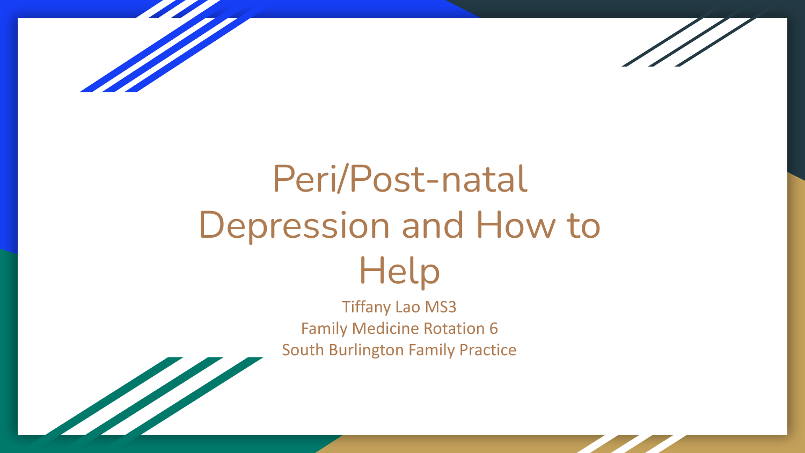

The Company of the Company of the Company of the Company of the Company of the Company of the Company of



# Peri/Post-natal Depression and How to Help

Tiffany Lao MS3 Family Medicine Rotation 6 South Burlington Family Practice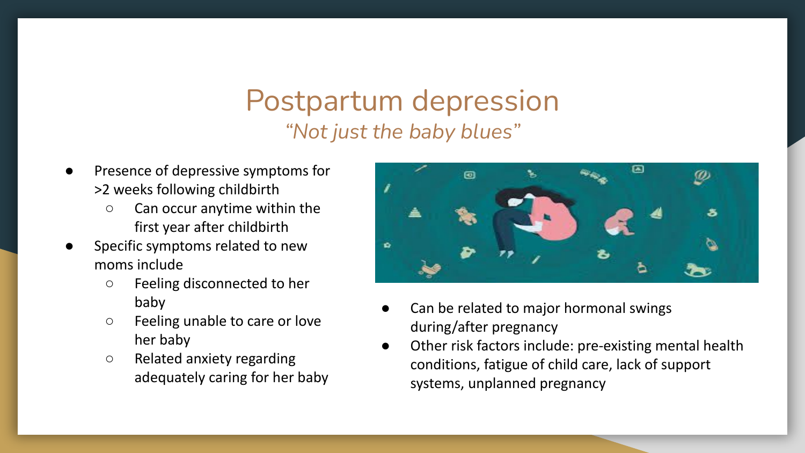#### Postpartum depression *"Not just the baby blues"*

- Presence of depressive symptoms for >2 weeks following childbirth
	- Can occur anytime within the first year after childbirth
- Specific symptoms related to new moms include
	- Feeling disconnected to her baby
	- Feeling unable to care or love her baby
	- Related anxiety regarding adequately caring for her baby



- Can be related to major hormonal swings during/after pregnancy
- Other risk factors include: pre-existing mental health conditions, fatigue of child care, lack of support systems, unplanned pregnancy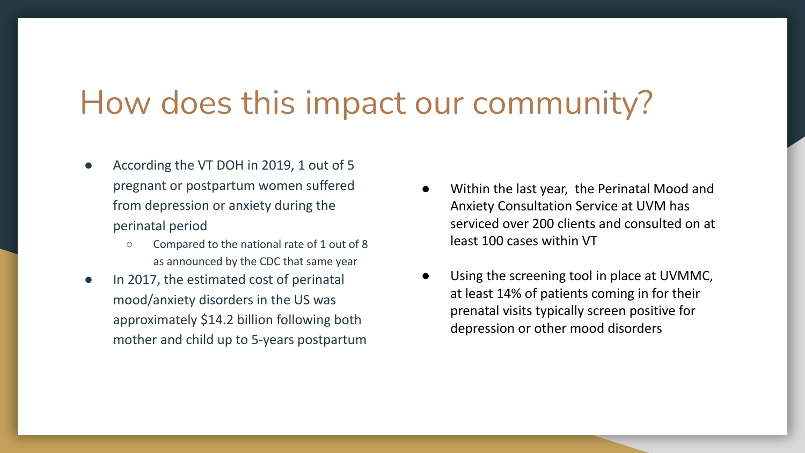## How does this impact our community?

- According the VT DOH in 2019, 1 out of 5 pregnant or postpartum women suffered from depression or anxiety during the perinatal period
	- Compared to the national rate of 1 out of 8 as announced by the CDC that same year
- In 2017, the estimated cost of perinatal mood/anxiety disorders in the US was approximately \$14.2 billion following both mother and child up to 5-years postpartum
- Within the last year, the Perinatal Mood and Anxiety Consultation Service at UVM has serviced over 200 clients and consulted on at least 100 cases within VT
- Using the screening tool in place at UVMMC, at least 14% of patients coming in for their prenatal visits typically screen positive for depression or other mood disorders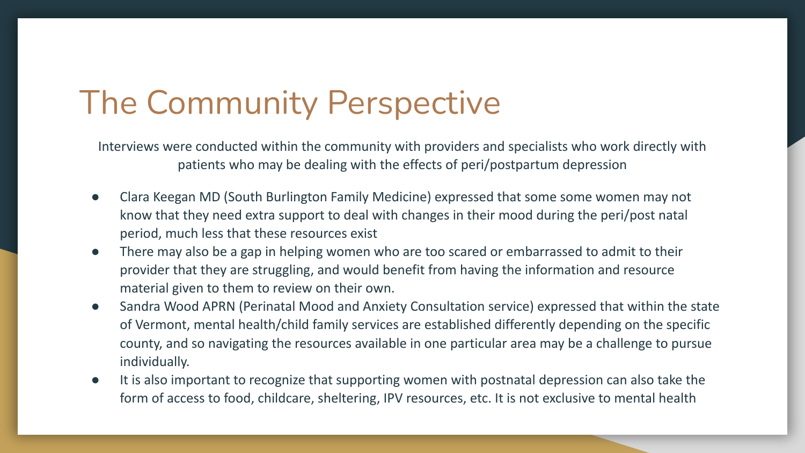## The Community Perspective

Interviews were conducted within the community with providers and specialists who work directly with patients who may be dealing with the effects of peri/postpartum depression

- Clara Keegan MD (South Burlington Family Medicine) expressed that some some women may not know that they need extra support to deal with changes in their mood during the peri/post natal period, much less that these resources exist
- There may also be a gap in helping women who are too scared or embarrassed to admit to their provider that they are struggling, and would benefit from having the information and resource material given to them to review on their own.
- Sandra Wood APRN (Perinatal Mood and Anxiety Consultation service) expressed that within the state of Vermont, mental health/child family services are established differently depending on the specific county, and so navigating the resources available in one particular area may be a challenge to pursue individually.
- It is also important to recognize that supporting women with postnatal depression can also take the form of access to food, childcare, sheltering, IPV resources, etc. It is not exclusive to mental health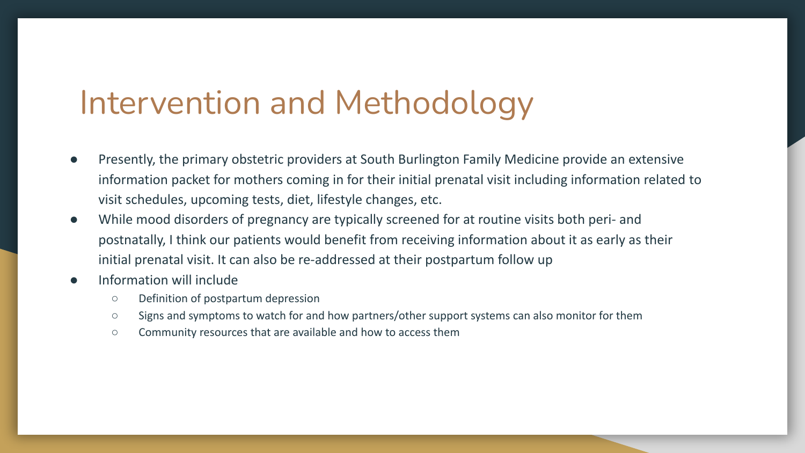#### Intervention and Methodology

- Presently, the primary obstetric providers at South Burlington Family Medicine provide an extensive information packet for mothers coming in for their initial prenatal visit including information related to visit schedules, upcoming tests, diet, lifestyle changes, etc.
- While mood disorders of pregnancy are typically screened for at routine visits both peri- and postnatally, I think our patients would benefit from receiving information about it as early as their initial prenatal visit. It can also be re-addressed at their postpartum follow up
- Information will include
	- Definition of postpartum depression
	- Signs and symptoms to watch for and how partners/other support systems can also monitor for them
	- Community resources that are available and how to access them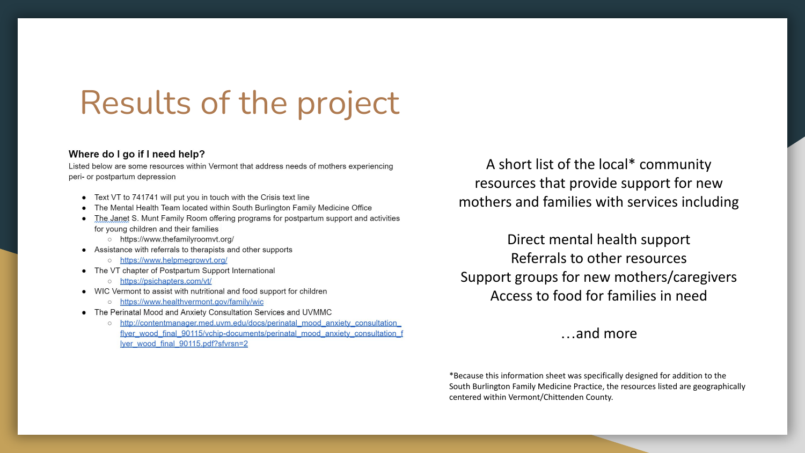### Results of the project

#### Where do I go if I need help?

Listed below are some resources within Vermont that address needs of mothers experiencing peri- or postpartum depression

- Text VT to 741741 will put you in touch with the Crisis text line
- The Mental Health Team located within South Burlington Family Medicine Office
- The Janet S. Munt Family Room offering programs for postpartum support and activities for young children and their families
	- o https://www.thefamilyroomyt.org/
- Assistance with referrals to therapists and other supports
	- o https://www.helpmegrowyt.org/
- The VT chapter of Postpartum Support International
	- o https://psichapters.com/vt/
- WIC Vermont to assist with nutritional and food support for children
	- o https://www.healthvermont.gov/family/wic
- The Perinatal Mood and Anxiety Consultation Services and UVMMC
	- o http://contentmanager.med.uvm.edu/docs/perinatal mood anxiety consultation flyer wood final 90115/ychip-documents/perinatal mood anxiety consultation f Iyer wood final 90115.pdf?sfvrsn=2

A short list of the local\* community resources that provide support for new mothers and families with services including

Direct mental health support Referrals to other resources Support groups for new mothers/caregivers Access to food for families in need

…and more

\*Because this information sheet was specifically designed for addition to the South Burlington Family Medicine Practice, the resources listed are geographically centered within Vermont/Chittenden County.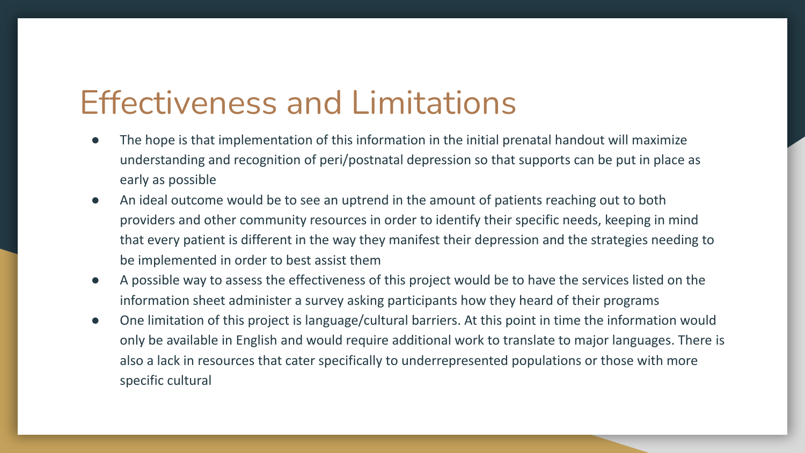### Effectiveness and Limitations

- The hope is that implementation of this information in the initial prenatal handout will maximize understanding and recognition of peri/postnatal depression so that supports can be put in place as early as possible
- An ideal outcome would be to see an uptrend in the amount of patients reaching out to both providers and other community resources in order to identify their specific needs, keeping in mind that every patient is different in the way they manifest their depression and the strategies needing to be implemented in order to best assist them
- A possible way to assess the effectiveness of this project would be to have the services listed on the information sheet administer a survey asking participants how they heard of their programs
- One limitation of this project is language/cultural barriers. At this point in time the information would only be available in English and would require additional work to translate to major languages. There is also a lack in resources that cater specifically to underrepresented populations or those with more specific cultural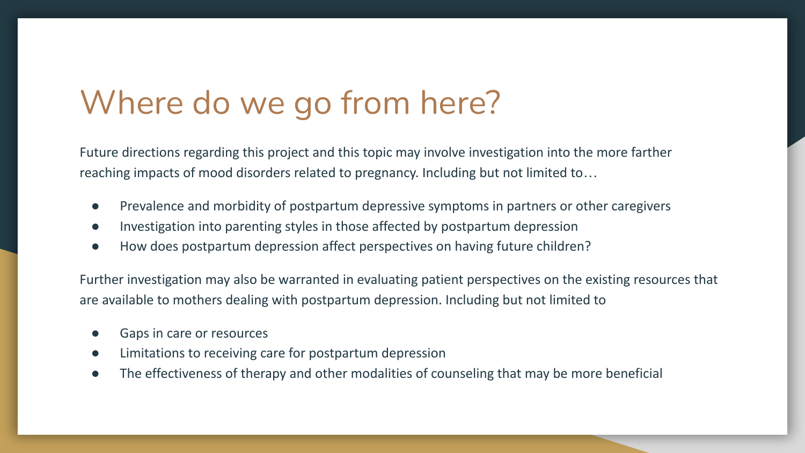### Where do we go from here?

Future directions regarding this project and this topic may involve investigation into the more farther reaching impacts of mood disorders related to pregnancy. Including but not limited to…

- Prevalence and morbidity of postpartum depressive symptoms in partners or other caregivers
- Investigation into parenting styles in those affected by postpartum depression
- How does postpartum depression affect perspectives on having future children?

Further investigation may also be warranted in evaluating patient perspectives on the existing resources that are available to mothers dealing with postpartum depression. Including but not limited to

- Gaps in care or resources
- Limitations to receiving care for postpartum depression
- The effectiveness of therapy and other modalities of counseling that may be more beneficial